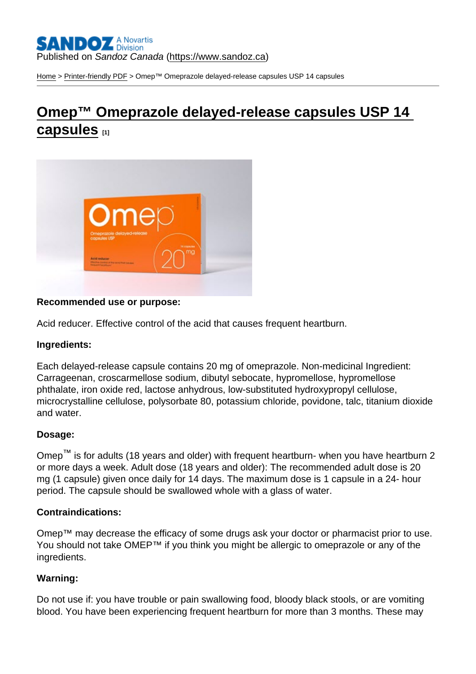[Home](https://www.sandoz.ca/en) > [Printer-friendly PDF](https://www.sandoz.ca/en/printpdf) > Omep™ Omeprazole delayed-release capsules USP 14 capsules

## [Omep™ Omeprazole delayed-release capsules USP 14](https://www.sandoz.ca/en/omeptm-omeprazole-delayed-release-capsules-usp-14-capsules)  [capsules](https://www.sandoz.ca/en/omeptm-omeprazole-delayed-release-capsules-usp-14-capsules) [1]

Recommended use or purpose:

Acid reducer. Effective control of the acid that causes frequent heartburn.

Ingredients:

Each delayed-release capsule contains 20 mg of omeprazole. Non-medicinal Ingredient: Carrageenan, croscarmellose sodium, dibutyl sebocate, hypromellose, hypromellose phthalate, iron oxide red, lactose anhydrous, low-substituted hydroxypropyl cellulose, microcrystalline cellulose, polysorbate 80, potassium chloride, povidone, talc, titanium dioxide and water.

## Dosage:

Omep<sup>™</sup> is for adults (18 years and older) with frequent heartburn- when you have heartburn 2 or more days a week. Adult dose (18 years and older): The recommended adult dose is 20 mg (1 capsule) given once daily for 14 days. The maximum dose is 1 capsule in a 24- hour period. The capsule should be swallowed whole with a glass of water.

## Contraindications:

Omep™ may decrease the efficacy of some drugs ask your doctor or pharmacist prior to use. You should not take OMEP™ if you think you might be allergic to omeprazole or any of the ingredients.

## Warning:

Do not use if: you have trouble or pain swallowing food, bloody black stools, or are vomiting blood. You have been experiencing frequent heartburn for more than 3 months. These may